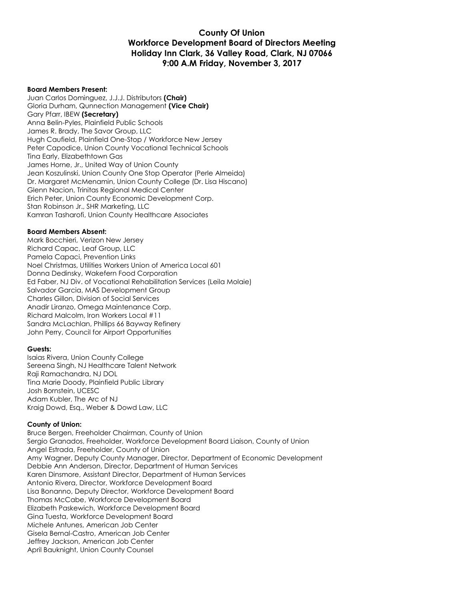#### **County Of Union Workforce Development Board of Directors Meeting Holiday Inn Clark, 36 Valley Road, Clark, NJ 07066 9:00 A.M Friday, November 3, 2017**

#### **Board Members Present:**

Juan Carlos Dominguez, J.J.J. Distributors **(Chair)** Gloria Durham, Qunnection Management **(Vice Chair)** Gary Pfarr, IBEW **(Secretary)** Anna Belin-Pyles, Plainfield Public Schools James R. Brady, The Savor Group, LLC Hugh Caufield, Plainfield One-Stop / Workforce New Jersey Peter Capodice, Union County Vocational Technical Schools Tina Early, Elizabethtown Gas James Horne, Jr., United Way of Union County Jean Koszulinski, Union County One Stop Operator (Perle Almeida) Dr. Margaret McMenamin, Union County College (Dr. Lisa Hiscano) Glenn Nacion, Trinitas Regional Medical Center Erich Peter, Union County Economic Development Corp. Stan Robinson Jr., SHR Marketing, LLC Kamran Tasharofi, Union County Healthcare Associates

#### **Board Members Absent:**

Mark Bocchieri, Verizon New Jersey Richard Capac, Leaf Group, LLC Pamela Capaci, Prevention Links Noel Christmas, Utilities Workers Union of America Local 601 Donna Dedinsky, Wakefern Food Corporation Ed Faber, NJ Div. of Vocational Rehabilitation Services (Leila Molaie) Salvador Garcia, MAS Development Group Charles Gillon, Division of Social Services Anadir Liranzo, Omega Maintenance Corp. Richard Malcolm, Iron Workers Local #11 Sandra McLachlan, Phillips 66 Bayway Refinery John Perry, Council for Airport Opportunities

#### **Guests:**

Isaias Rivera, Union County College Sereena Singh, NJ Healthcare Talent Network Raji Ramachandra, NJ DOL Tina Marie Doody, Plainfield Public Library Josh Bornstein, UCESC Adam Kubler, The Arc of NJ Kraig Dowd, Esq., Weber & Dowd Law, LLC

#### **County of Union:**

Bruce Bergen, Freeholder Chairman, County of Union Sergio Granados, Freeholder, Workforce Development Board Liaison, County of Union Angel Estrada, Freeholder, County of Union Amy Wagner, Deputy County Manager, Director, Department of Economic Development Debbie Ann Anderson, Director, Department of Human Services Karen Dinsmore, Assistant Director, Department of Human Services Antonio Rivera, Director, Workforce Development Board Lisa Bonanno, Deputy Director, Workforce Development Board Thomas McCabe, Workforce Development Board Elizabeth Paskewich, Workforce Development Board Gina Tuesta, Workforce Development Board Michele Antunes, American Job Center Gisela Bernal-Castro, American Job Center Jeffrey Jackson, American Job Center April Bauknight, Union County Counsel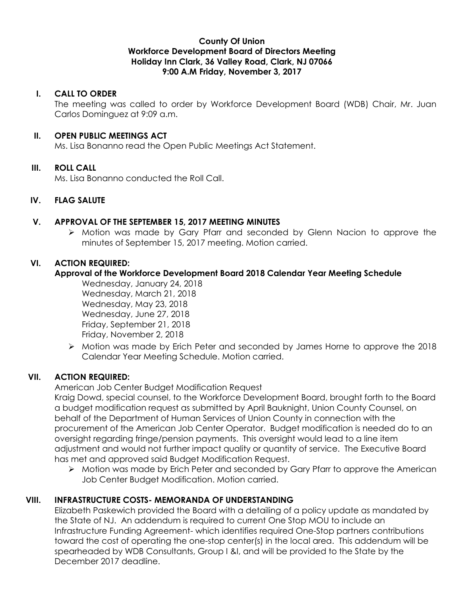### **County Of Union Workforce Development Board of Directors Meeting Holiday Inn Clark, 36 Valley Road, Clark, NJ 07066 9:00 A.M Friday, November 3, 2017**

### **I. CALL TO ORDER**

The meeting was called to order by Workforce Development Board (WDB) Chair, Mr. Juan Carlos Dominguez at 9:09 a.m.

#### **II. OPEN PUBLIC MEETINGS ACT**

Ms. Lisa Bonanno read the Open Public Meetings Act Statement.

# **III. ROLL CALL**

Ms. Lisa Bonanno conducted the Roll Call.

# **IV. FLAG SALUTE**

#### **V. APPROVAL OF THE SEPTEMBER 15, 2017 MEETING MINUTES**

 Motion was made by Gary Pfarr and seconded by Glenn Nacion to approve the minutes of September 15, 2017 meeting. Motion carried.

# **VI. ACTION REQUIRED:**

# **Approval of the Workforce Development Board 2018 Calendar Year Meeting Schedule**

Wednesday, January 24, 2018 Wednesday, March 21, 2018 Wednesday, May 23, 2018 Wednesday, June 27, 2018 Friday, September 21, 2018 Friday, November 2, 2018

 Motion was made by Erich Peter and seconded by James Horne to approve the 2018 Calendar Year Meeting Schedule. Motion carried.

# **VII. ACTION REQUIRED:**

American Job Center Budget Modification Request

Kraig Dowd, special counsel, to the Workforce Development Board, brought forth to the Board a budget modification request as submitted by April Bauknight, Union County Counsel, on behalf of the Department of Human Services of Union County in connection with the procurement of the American Job Center Operator. Budget modification is needed do to an oversight regarding fringe/pension payments. This oversight would lead to a line item adjustment and would not further impact quality or quantity of service. The Executive Board has met and approved said Budget Modification Request.

 $\triangleright$  Motion was made by Erich Peter and seconded by Gary Pfarr to approve the American Job Center Budget Modification. Motion carried.

# **VIII. INFRASTRUCTURE COSTS- MEMORANDA OF UNDERSTANDING**

Elizabeth Paskewich provided the Board with a detailing of a policy update as mandated by the State of NJ. An addendum is required to current One Stop MOU to include an Infrastructure Funding Agreement- which identifies required One-Stop partners contributions toward the cost of operating the one-stop center(s) in the local area. This addendum will be spearheaded by WDB Consultants, Group I &I, and will be provided to the State by the December 2017 deadline.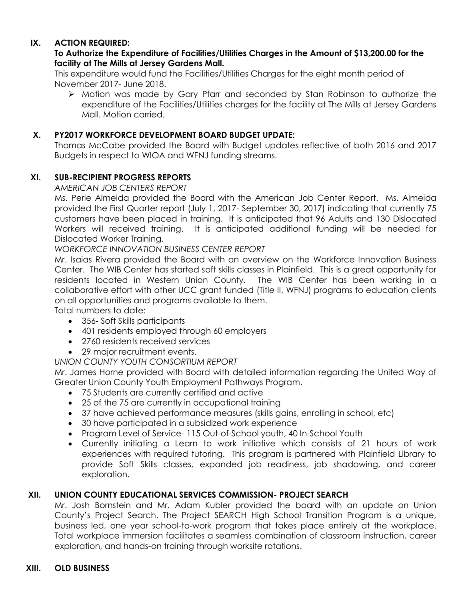# **IX. ACTION REQUIRED:**

### **To Authorize the Expenditure of Facilities/Utilities Charges in the Amount of \$13,200.00 for the facility at The Mills at Jersey Gardens Mall.**

This expenditure would fund the Facilities/Utilities Charges for the eight month period of November 2017- June 2018.

 Motion was made by Gary Pfarr and seconded by Stan Robinson to authorize the expenditure of the Facilities/Utilities charges for the facility at The Mills at Jersey Gardens Mall. Motion carried.

### **X. PY2017 WORKFORCE DEVELOPMENT BOARD BUDGET UPDATE:**

Thomas McCabe provided the Board with Budget updates reflective of both 2016 and 2017 Budgets in respect to WIOA and WFNJ funding streams.

# **XI. SUB-RECIPIENT PROGRESS REPORTS**

*AMERICAN JOB CENTERS REPORT*

Ms. Perle Almeida provided the Board with the American Job Center Report. Ms. Almeida provided the First Quarter report (July 1, 2017- September 30, 2017) indicating that currently 75 customers have been placed in training. It is anticipated that 96 Adults and 130 Dislocated Workers will received training. It is anticipated additional funding will be needed for Dislocated Worker Training.

*WORKFORCE INNOVATION BUSINESS CENTER REPORT*

Mr. Isaias Rivera provided the Board with an overview on the Workforce Innovation Business Center. The WIB Center has started soft skills classes in Plainfield. This is a great opportunity for residents located in Western Union County. The WIB Center has been working in a collaborative effort with other UCC grant funded (Title II, WFNJ) programs to education clients on all opportunities and programs available to them.

Total numbers to date:

- 356- Soft Skills participants
- 401 residents employed through 60 employers
- 2760 residents received services
- 29 major recruitment events.

*UNION COUNTY YOUTH CONSORTIUM REPORT*

Mr. James Horne provided with Board with detailed information regarding the United Way of Greater Union County Youth Employment Pathways Program.

- 75 Students are currently certified and active
- 25 of the 75 are currently in occupational training
- 37 have achieved performance measures (skills gains, enrolling in school, etc)
- 30 have participated in a subsidized work experience
- Program Level of Service- 115 Out-of-School youth, 40 In-School Youth
- Currently initiating a Learn to work initiative which consists of 21 hours of work experiences with required tutoring. This program is partnered with Plainfield Library to provide Soft Skills classes, expanded job readiness, job shadowing, and career exploration.

# **XII. UNION COUNTY EDUCATIONAL SERVICES COMMISSION- PROJECT SEARCH**

Mr. Josh Bornstein and Mr. Adam Kubler provided the board with an update on Union County's Project Search. The Project SEARCH High School Transition Program is a unique, business led, one year school-to-work program that takes place entirely at the workplace. Total workplace immersion facilitates a seamless combination of classroom instruction, career exploration, and hands-on training through worksite rotations.

#### **XIII. OLD BUSINESS**